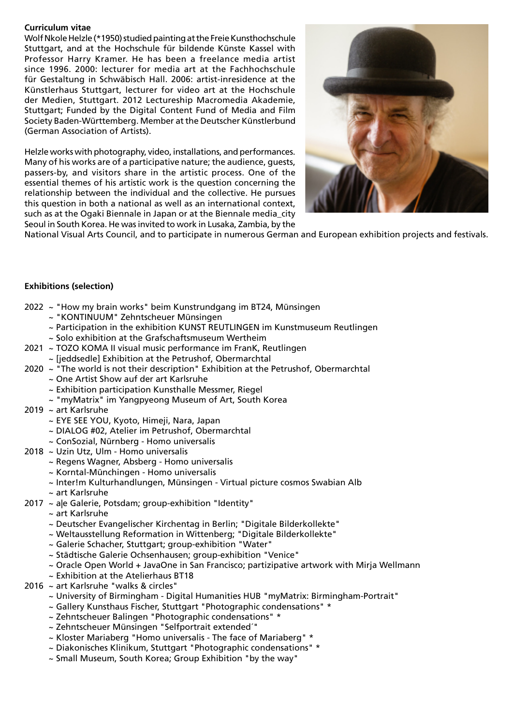## **Curriculum vitae**

Wolf Nkole Helzle (\*1950) studied painting at the Freie Kunsthochschule Stuttgart, and at the Hochschule für bildende Künste Kassel with Professor Harry Kramer. He has been a freelance media artist since 1996. 2000: lecturer for media art at the Fachhochschule für Gestaltung in Schwäbisch Hall. 2006: artist-inresidence at the Künstlerhaus Stuttgart, lecturer for video art at the Hochschule der Medien, Stuttgart. 2012 Lectureship Macromedia Akademie, Stuttgart; Funded by the Digital Content Fund of Media and Film Society Baden-Württemberg. Member at the Deutscher Künstlerbund (German Association of Artists).

Helzle works with photography, video, installations, and performances. Many of his works are of a participative nature; the audience, guests, passers-by, and visitors share in the artistic process. One of the essential themes of his artistic work is the question concerning the relationship between the individual and the collective. He pursues this question in both a national as well as an international context, such as at the Ogaki Biennale in Japan or at the Biennale media city Seoul in South Korea. He was invited to work in Lusaka, Zambia, by the



National Visual Arts Council, and to participate in numerous German and European exhibition projects and festivals.

## **Exhibitions (selection)**

- 2022 ~ "How my brain works" beim Kunstrundgang im BT24, Münsingen
	- ~ "KONTINUUM" Zehntscheuer Münsingen
	- ~ Participation in the exhibition KUNST REUTLINGEN im Kunstmuseum Reutlingen
	- ~ Solo exhibition at the Grafschaftsmuseum Wertheim
- 2021 ~ TOZO KOMA II visual music performance im FranK, Reutlingen
	- ~ [jeddsedle] Exhibition at the Petrushof, Obermarchtal
- 2020 ~ "The world is not their description" Exhibition at the Petrushof, Obermarchtal
	- ~ One Artist Show auf der art Karlsruhe
	- ~ Exhibition participation Kunsthalle Messmer, Riegel
	- ~ "myMatrix" im Yangpyeong Museum of Art, South Korea
- 2019 ~ art Karlsruhe
	- ~ EYE SEE YOU, Kyoto, Himeji, Nara, Japan
	- ~ DIALOG #02, Atelier im Petrushof, Obermarchtal
	- ~ ConSozial, Nürnberg Homo universalis
- 2018 ~ Uzin Utz, Ulm Homo universalis
	- ~ Regens Wagner, Absberg Homo universalis
	- ~ Korntal-Münchingen Homo universalis
	- ~ Inter!m Kulturhandlungen, Münsingen Virtual picture cosmos Swabian Alb
	- ~ art Karlsruhe
- 2017 ~ a|e Galerie, Potsdam; group-exhibition "Identity"
	- ~ art Karlsruhe
	- ~ Deutscher Evangelischer Kirchentag in Berlin; "Digitale Bilderkollekte"
	- ~ Weltausstellung Reformation in Wittenberg; "Digitale Bilderkollekte"
	- ~ Galerie Schacher, Stuttgart; group-exhibition "Water"
	- ~ Städtische Galerie Ochsenhausen; group-exhibition "Venice"
	- ~ Oracle Open World + JavaOne in San Francisco; partizipative artwork with Mirja Wellmann
	- ~ Exhibition at the Atelierhaus BT18
- 2016 ~ art Karlsruhe "walks & circles"
	- ~ University of Birmingham Digital Humanities HUB "myMatrix: Birmingham-Portrait"
	- ~ Gallery Kunsthaus Fischer, Stuttgart "Photographic condensations" \*
	- ~ Zehntscheuer Balingen "Photographic condensations" \*
	- ~ Zehntscheuer Münsingen "Selfportrait extended´"
	- ~ Kloster Mariaberg "Homo universalis The face of Mariaberg" \*
	- ~ Diakonisches Klinikum, Stuttgart "Photographic condensations" \*
	- ~ Small Museum, South Korea; Group Exhibition "by the way"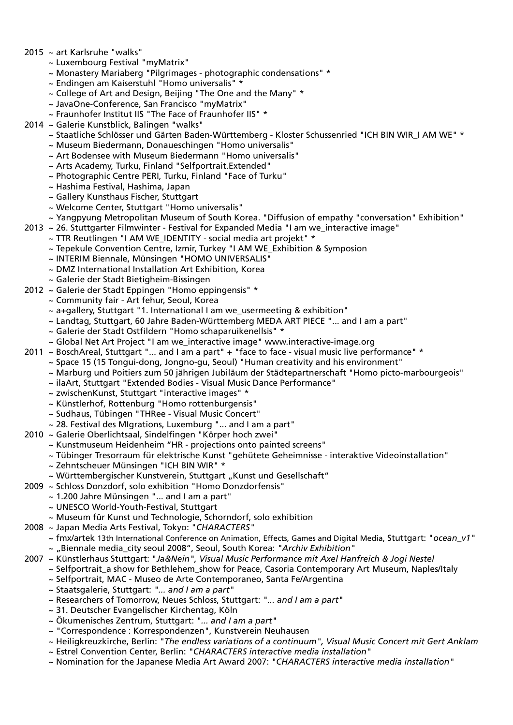- 2015 ~ art Karlsruhe "walks"
	- ~ Luxembourg Festival "myMatrix"
	- ~ Monastery Mariaberg "Pilgrimages photographic condensations" \*
	- ~ Endingen am Kaiserstuhl "Homo universalis" \*
	- ~ College of Art and Design, Beijing "The One and the Many" \*
	- ~ JavaOne-Conference, San Francisco "myMatrix"
	- ~ Fraunhofer Institut IIS "The Face of Fraunhofer IIS" \*
- 2014 ~ Galerie Kunstblick, Balingen "walks"
	- ~ Staatliche Schlösser und Gärten Baden-Württemberg Kloster Schussenried "ICH BIN WIR\_I AM WE" \*
	- ~ Museum Biedermann, Donaueschingen "Homo universalis"
	- ~ Art Bodensee with Museum Biedermann "Homo universalis"
	- ~ Arts Academy, Turku, Finland "Selfportrait.Extended"
	- ~ Photographic Centre PERI, Turku, Finland "Face of Turku"
	- ~ Hashima Festival, Hashima, Japan
	- ~ Gallery Kunsthaus Fischer, Stuttgart
	- ~ Welcome Center, Stuttgart "Homo universalis"
	- ~ Yangpyung Metropolitan Museum of South Korea. "Diffusion of empathy "conversation" Exhibition"
- 2013 ~ 26. Stuttgarter Filmwinter Festival for Expanded Media "I am we\_interactive image"
	- ~ TTR Reutlingen "I AM WE\_IDENTITY social media art projekt" \*
	- ~ Tepekule Convention Centre, Izmir, Turkey "I AM WE\_Exhibition & Symposion
	- ~ INTERIM Biennale, Münsingen "HOMO UNIVERSALIS"
	- ~ DMZ International Installation Art Exhibition, Korea
	- ~ Galerie der Stadt Bietigheim-Bissingen
- 2012 ~ Galerie der Stadt Eppingen "Homo eppingensis" \*
	- ~ Community fair Art fehur, Seoul, Korea
	- ~ a+gallery, Stuttgart "1. International I am we\_usermeeting & exhibition"
	- ~ Landtag, Stuttgart, 60 Jahre Baden-Württemberg MEDA ART PIECE "... and I am a part"
	- ~ Galerie der Stadt Ostfildern "Homo schaparuikenellsis" \*
	- ~ Global Net Art Project "I am we\_interactive image" www.interactive-image.org
- 2011 ~ BoschAreal, Stuttgart "... and I am a part" + "face to face visual music live performance" \*
	- ~ Space 15 (15 Tongui-dong, Jongno-gu, Seoul) "Human creativity and his environment"
	- ~ Marburg und Poitiers zum 50 jährigen Jubiläum der Städtepartnerschaft "Homo picto-marbourgeois"
	- ~ ilaArt, Stuttgart "Extended Bodies Visual Music Dance Performance"
	- ~ zwischenKunst, Stuttgart "interactive images" \*
	- ~ Künstlerhof, Rottenburg "Homo rottenburgensis"
	- ~ Sudhaus, Tübingen "THRee Visual Music Concert"
	- ~ 28. Festival des MIgrations, Luxemburg "... and I am a part"
- 2010 ~ Galerie Oberlichtsaal, Sindelfingen "Körper hoch zwei"
	- ~ Kunstmuseum Heidenheim "HR projections onto painted screens"
		- ~ Tübinger Tresorraum für elektrische Kunst "gehütete Geheimnisse interaktive Videoinstallation"
		- ~ Zehntscheuer Münsingen "ICH BIN WIR" \*
	- ~ Württembergischer Kunstverein, Stuttgart "Kunst und Gesellschaft"
- 2009 ~ Schloss Donzdorf, solo exhibition "Homo Donzdorfensis"
	- ~ 1.200 Jahre Münsingen "... and I am a part"
		- ~ UNESCO World-Youth-Festival, Stuttgart
		- ~ Museum für Kunst und Technologie, Schorndorf, solo exhibition
- 2008 ~ Japan Media Arts Festival, Tokyo: "*CHARACTERS"*
	- ~ fmx/artek 13th International Conference on Animation, Effects, Games and Digital Media, Stuttgart: "*ocean\_v1"* ~ "Biennale media\_city seoul 2008", Seoul, South Korea: *"Archiv Exhibition"*
- 2007 ~ Künstlerhaus Stuttgart: "*Ja&Nein", Visual Music Performance mit Axel Hanfreich & Jogi Nestel*
	- ~ Selfportrait\_a show for Bethlehem\_show for Peace, Casoria Contemporary Art Museum, Naples/Italy
		- ~ Selfportrait, MAC Museo de Arte Contemporaneo, Santa Fe/Argentina
		- ~ Staatsgalerie, Stuttgart: *"... and I am a part"*
		- ~ Researchers of Tomorrow, Neues Schloss, Stuttgart: *"... and I am a part"*
		- ~ 31. Deutscher Evangelischer Kirchentag, Köln
		- ~ Ökumenisches Zentrum, Stuttgart: *"... and I am a part"*
		- ~ "Correspondence : Korrespondenzen", Kunstverein Neuhausen
		- ~ Heiligkreuzkirche, Berlin: *"The endless variations of a continuum", Visual Music Concert mit Gert Anklam*
		- ~ Estrel Convention Center, Berlin: *"CHARACTERS interactive media installation"*
		- ~ Nomination for the Japanese Media Art Award 2007: *"CHARACTERS interactive media installation"*